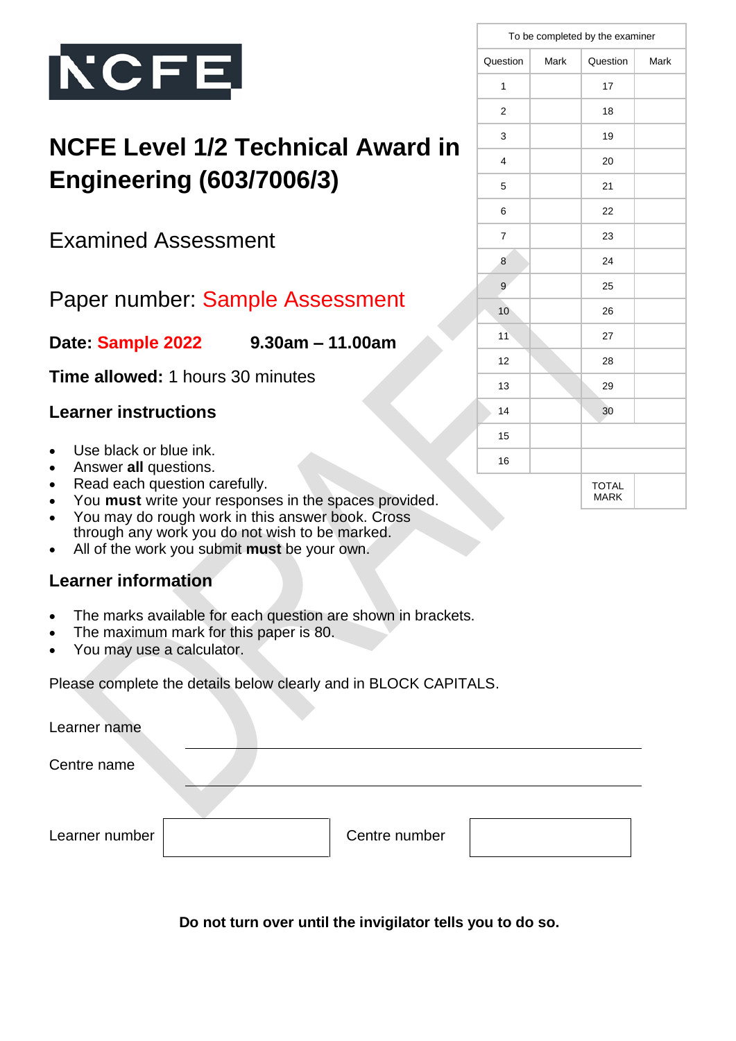

# **NCFE Level 1/2 Technical Award in Engineering (603/7006/3)**

Examined Assessment

## Paper number: Sample Assessment

**Date: Sample 2022 9.30am – 11.00am**

**Time allowed:** 1 hours 30 minutes

### **Learner instructions**

- Use black or blue ink.
- Answer **all** questions.
- Read each question carefully.
- You **must** write your responses in the spaces provided.
- You may do rough work in this answer book. Cross through any work you do not wish to be marked.
- All of the work you submit **must** be your own.

### **Learner information**

- The marks available for each question are shown in brackets.
- The maximum mark for this paper is 80.
- You may use a calculator.

Please complete the details below clearly and in BLOCK CAPITALS.

| Learner name   |               |  |
|----------------|---------------|--|
| Centre name    |               |  |
|                |               |  |
| Learner number | Centre number |  |

 **Do not turn over until the invigilator tells you to do so.**

|  | To be completed by the examiner |      |                             |      |  |
|--|---------------------------------|------|-----------------------------|------|--|
|  | Question                        | Mark | Question                    | Mark |  |
|  | 1                               |      | 17                          |      |  |
|  | 2                               |      | 18                          |      |  |
|  | 3                               |      | 19                          |      |  |
|  | 4                               |      | 20                          |      |  |
|  | 5                               |      | 21                          |      |  |
|  | 6                               |      | 22                          |      |  |
|  | 7                               |      | 23                          |      |  |
|  | 8                               |      | 24                          |      |  |
|  | 9                               |      | 25                          |      |  |
|  | 10                              |      | 26                          |      |  |
|  | 11                              |      | 27                          |      |  |
|  | 12                              |      | 28                          |      |  |
|  | 13                              |      | 29                          |      |  |
|  | 14                              |      | 30                          |      |  |
|  | 15                              |      |                             |      |  |
|  | 16                              |      |                             |      |  |
|  |                                 |      | <b>TOTAL</b><br><b>MARK</b> |      |  |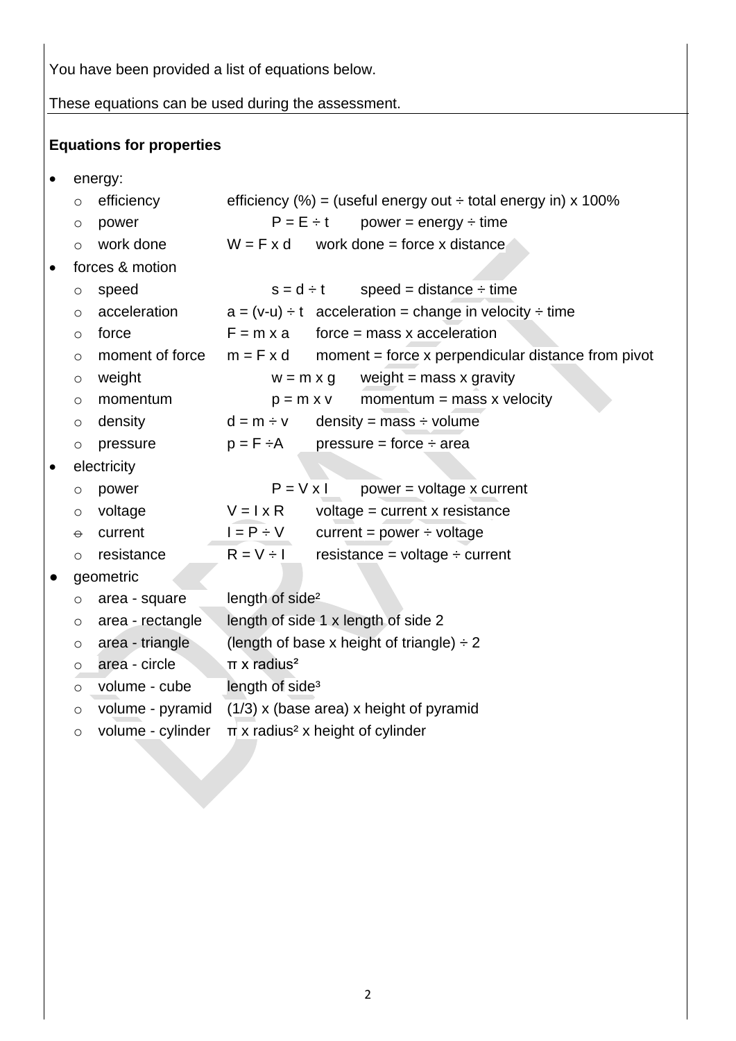You have been provided a list of equations below.

These equations can be used during the assessment.

### **Equations for properties**

• energy:

|           | $\circ$  | efficiency        |                             |                             | efficiency (%) = (useful energy out $\div$ total energy in) x 100% |
|-----------|----------|-------------------|-----------------------------|-----------------------------|--------------------------------------------------------------------|
|           | O        | power             |                             |                             | $P = E \div t$ power = energy $\div$ time                          |
|           | $\circ$  | work done         |                             |                             | $W = F x d$ work done = force x distance                           |
| $\bullet$ |          | forces & motion   |                             |                             |                                                                    |
|           | $\circ$  | speed             |                             | $s = d \div t$              | speed = distance $\div$ time                                       |
|           | $\circ$  | acceleration      |                             |                             | $a = (v-u) \div t$ acceleration = change in velocity $\div$ time   |
|           | $\circ$  | force             | $F = m \times a$            |                             | $force = mass x acceleration$                                      |
|           | $\circ$  | moment of force   | $m = F \times d$            |                             | moment = force $x$ perpendicular distance from pivot               |
|           | $\circ$  | weight            |                             | $w = m \times g$            | weight $=$ mass x gravity                                          |
|           | $\circ$  | momentum          |                             | $p = m \times v$            | momentum = mass $x$ velocity                                       |
|           | $\circ$  | density           | $d = m \div v$              |                             | density = mass $\div$ volume                                       |
|           | $\circ$  | pressure          | $p = F \div A$              |                             | $pressure = force \div area$                                       |
| $\bullet$ |          | electricity       |                             |                             |                                                                    |
|           | O        | power             |                             | $P = V \times I$            | power = voltage x current                                          |
|           | $\circ$  | voltage           | $V = I \times R$            |                             | voltage = $current x resistance$                                   |
|           | $\Theta$ | current           | $I = P \div V$              |                             | current = $power \div voltage$                                     |
|           | $\circ$  | resistance        | $R = V \div I$              |                             | resistance = voltage $\div$ current                                |
| $\bullet$ |          | geometric         |                             |                             |                                                                    |
|           | $\circ$  | area - square     |                             | length of side <sup>2</sup> |                                                                    |
|           | $\circ$  | area - rectangle  |                             |                             | length of side 1 x length of side 2                                |
|           | $\circ$  | area - triangle   |                             |                             | (length of base x height of triangle) $\div 2$                     |
|           | $\circ$  | area - circle     | $\pi$ x radius <sup>2</sup> |                             |                                                                    |
|           | $\circ$  | volume - cube     |                             | length of side <sup>3</sup> |                                                                    |
|           | $\circ$  | volume - pyramid  |                             |                             | $(1/3)$ x (base area) x height of pyramid                          |
|           | $\circ$  | volume - cylinder |                             |                             | $\pi$ x radius <sup>2</sup> x height of cylinder                   |
|           |          |                   |                             |                             |                                                                    |
|           |          |                   |                             |                             |                                                                    |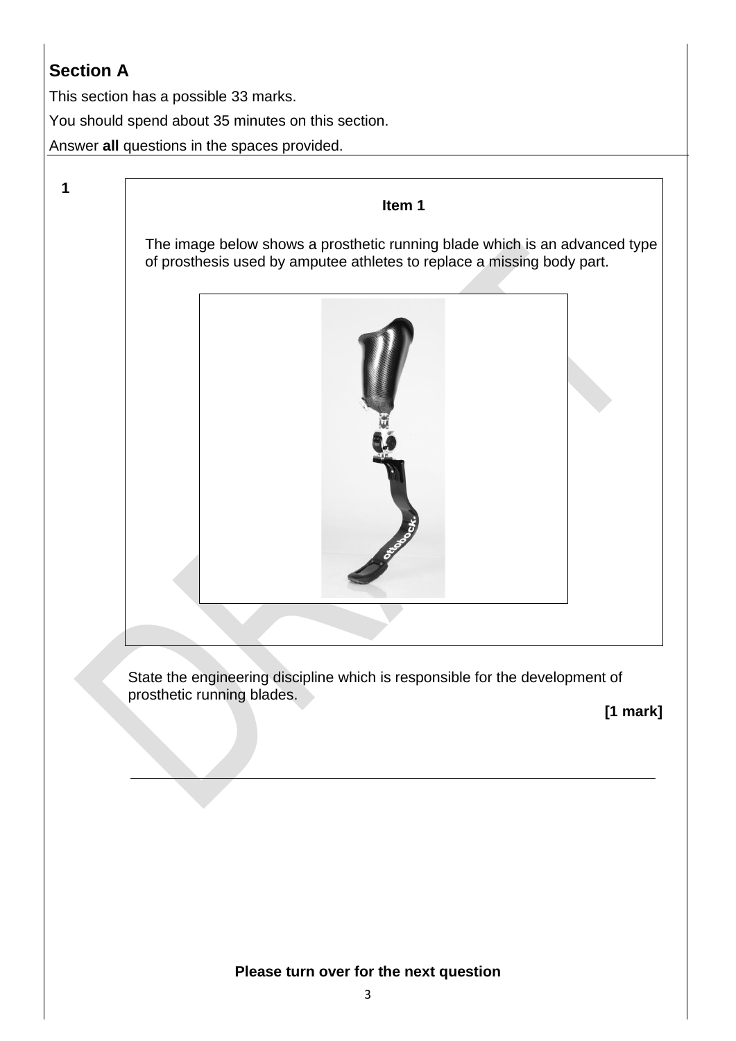### **Section A**

**1**

This section has a possible 33 marks.

You should spend about 35 minutes on this section.

Answer **all** questions in the spaces provided.

**Item 1**

The image below shows a prosthetic running blade which is an advanced type of prosthesis used by amputee athletes to replace a missing body part.



State the engineering discipline which is responsible for the development of prosthetic running blades.

**[1 mark]**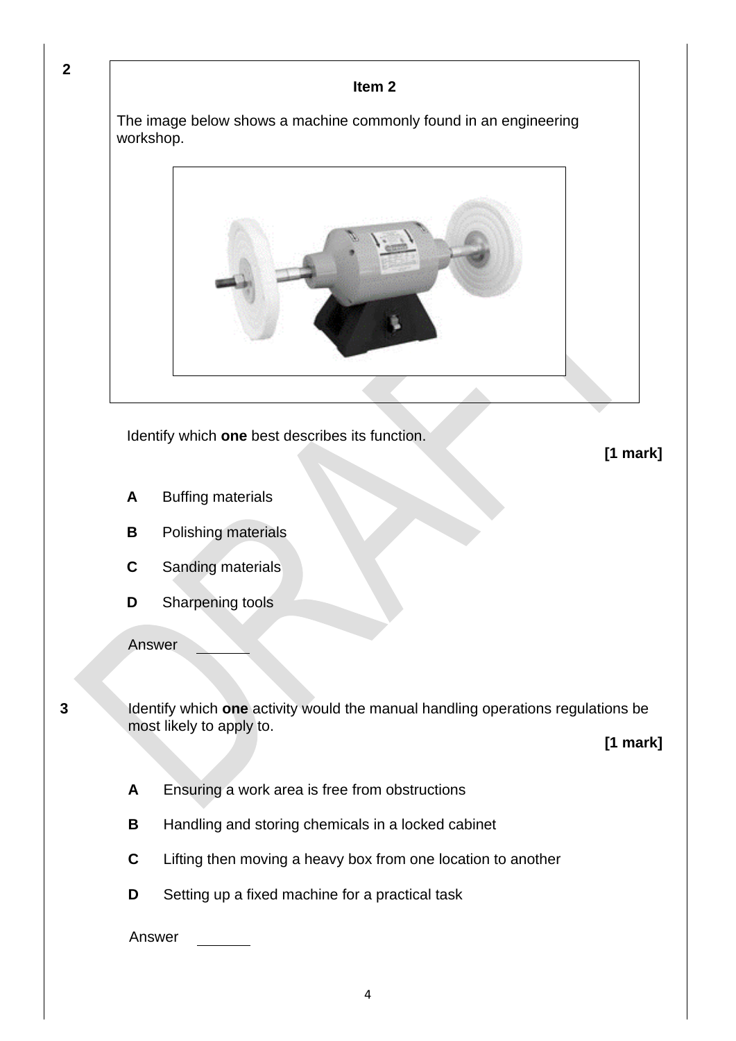**2**

#### **Item 2**

The image below shows a machine commonly found in an engineering workshop.



Identify which **one** best describes its function.

**[1 mark]**

- **A** Buffing materials
- **B** Polishing materials
- **C** Sanding materials
- **D** Sharpening tools

Answer

**3** Identify which **one** activity would the manual handling operations regulations be most likely to apply to.

**[1 mark]**

- **A** Ensuring a work area is free from obstructions
- **B** Handling and storing chemicals in a locked cabinet
- **C** Lifting then moving a heavy box from one location to another
- **D** Setting up a fixed machine for a practical task

Answer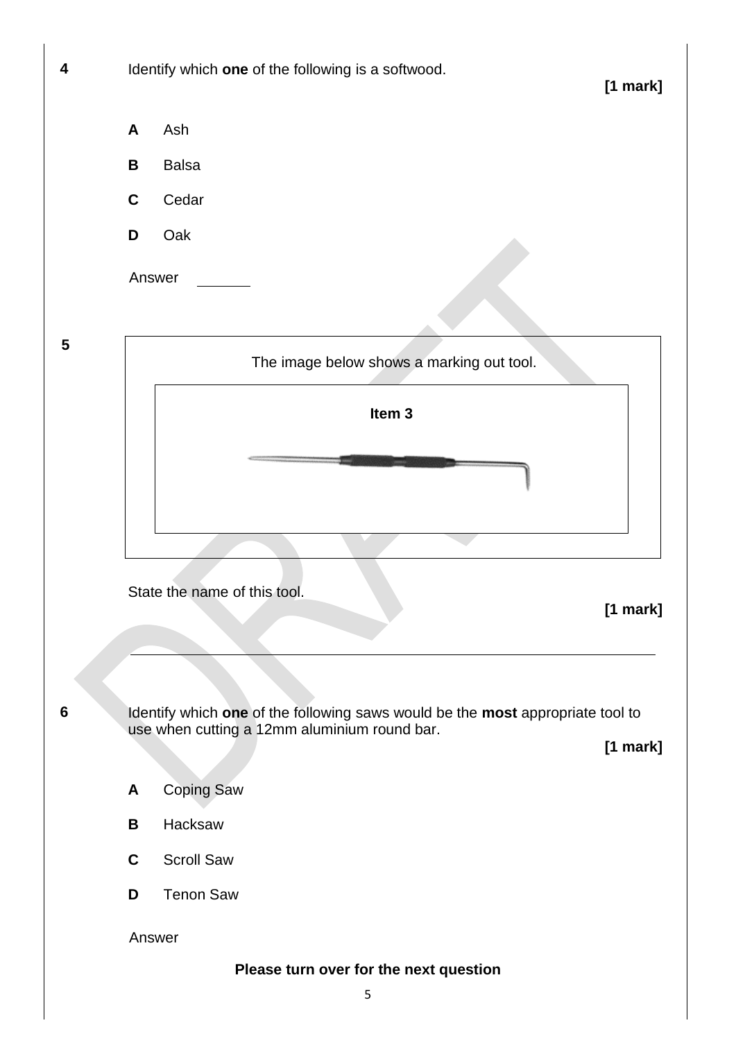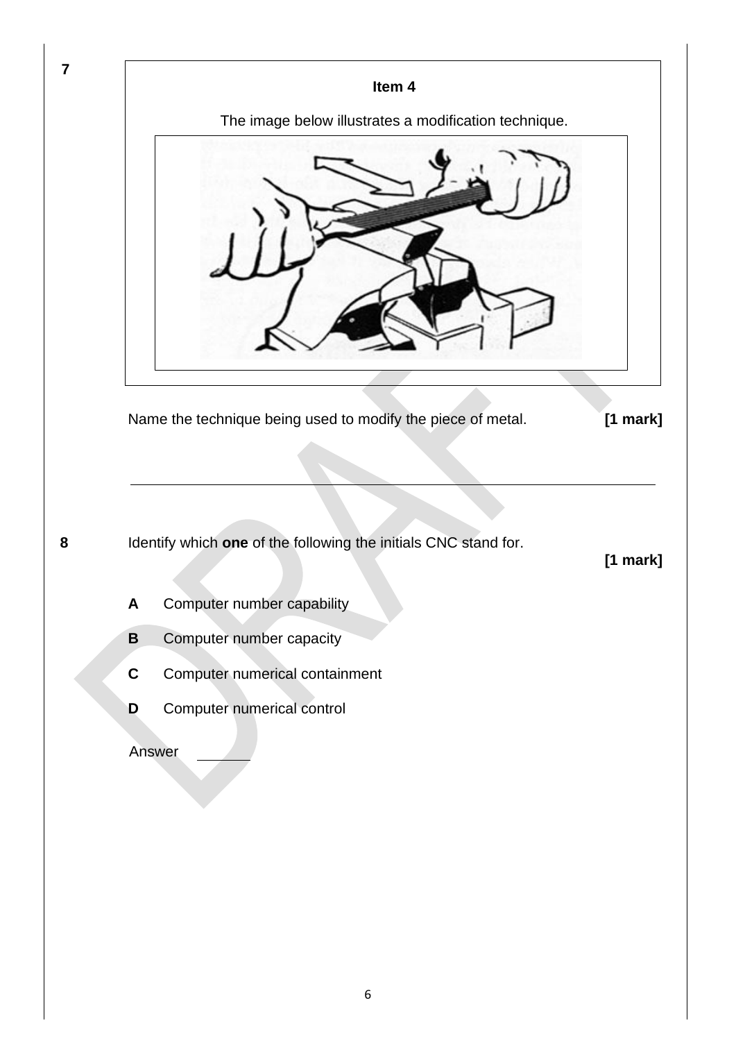

6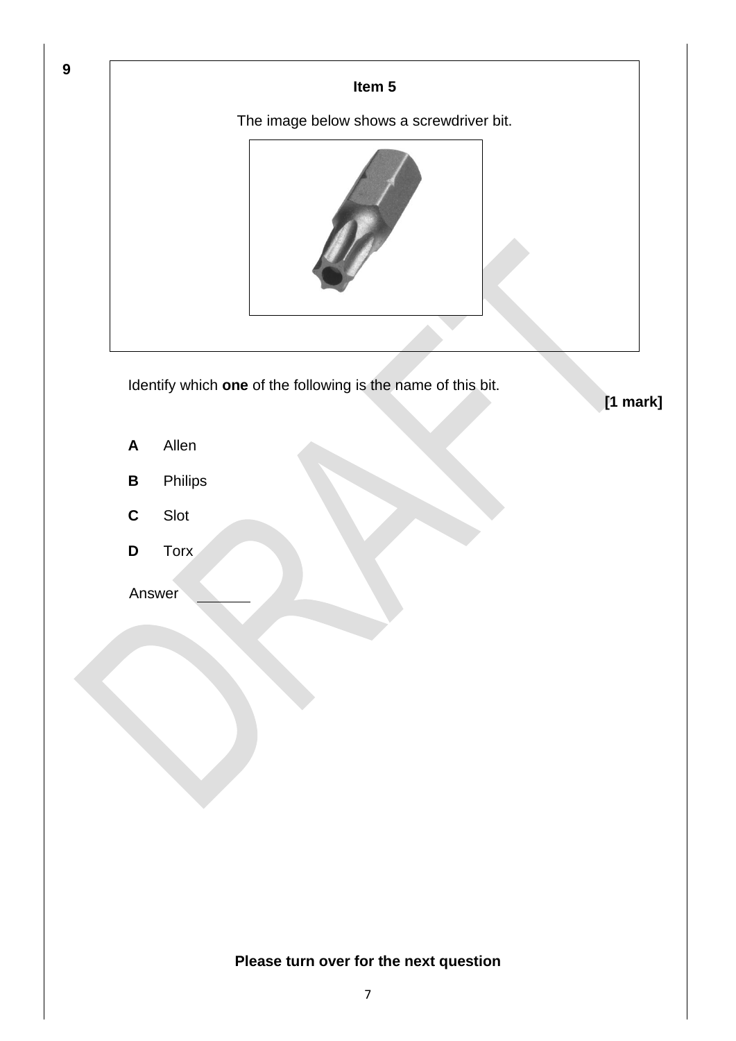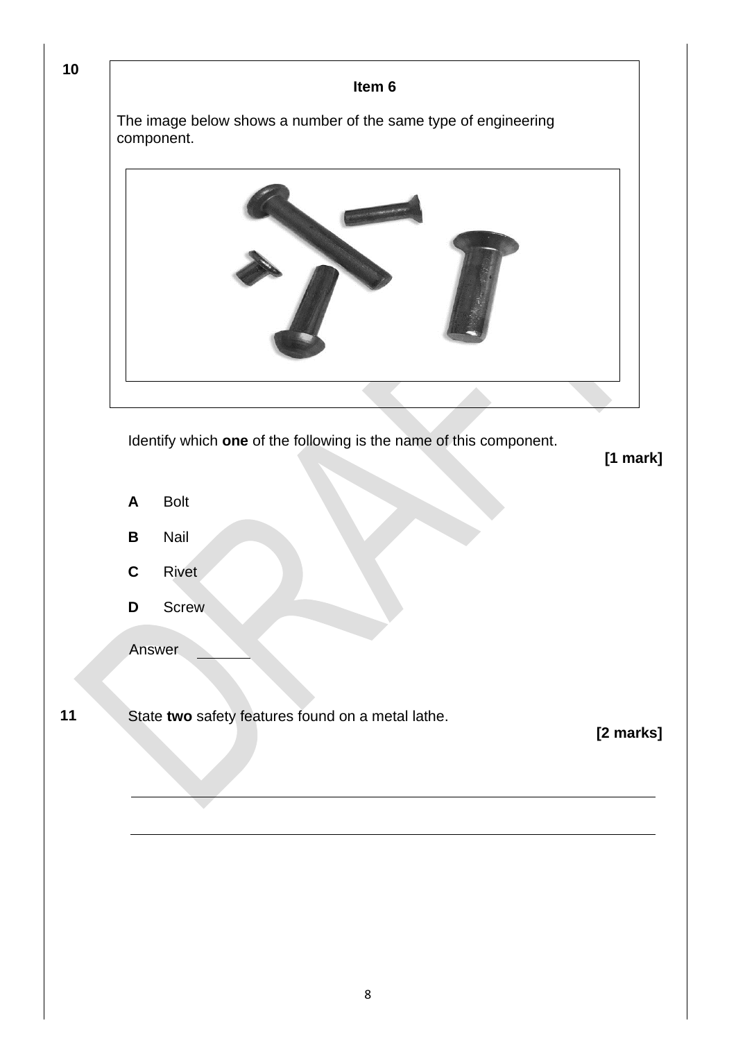| Item 6                                                                       |            |
|------------------------------------------------------------------------------|------------|
| The image below shows a number of the same type of engineering<br>component. |            |
|                                                                              |            |
|                                                                              |            |
| Identify which one of the following is the name of this component.           | $[1$ mark] |
| <b>Bolt</b><br>A                                                             |            |
| Nail<br>$\, {\bf B}$                                                         |            |
| Rivet<br>$\mathbf c$                                                         |            |
| Screw<br>D                                                                   |            |
| Answer                                                                       |            |
| State two safety features found on a metal lathe.                            | [2 marks]  |
|                                                                              |            |
|                                                                              |            |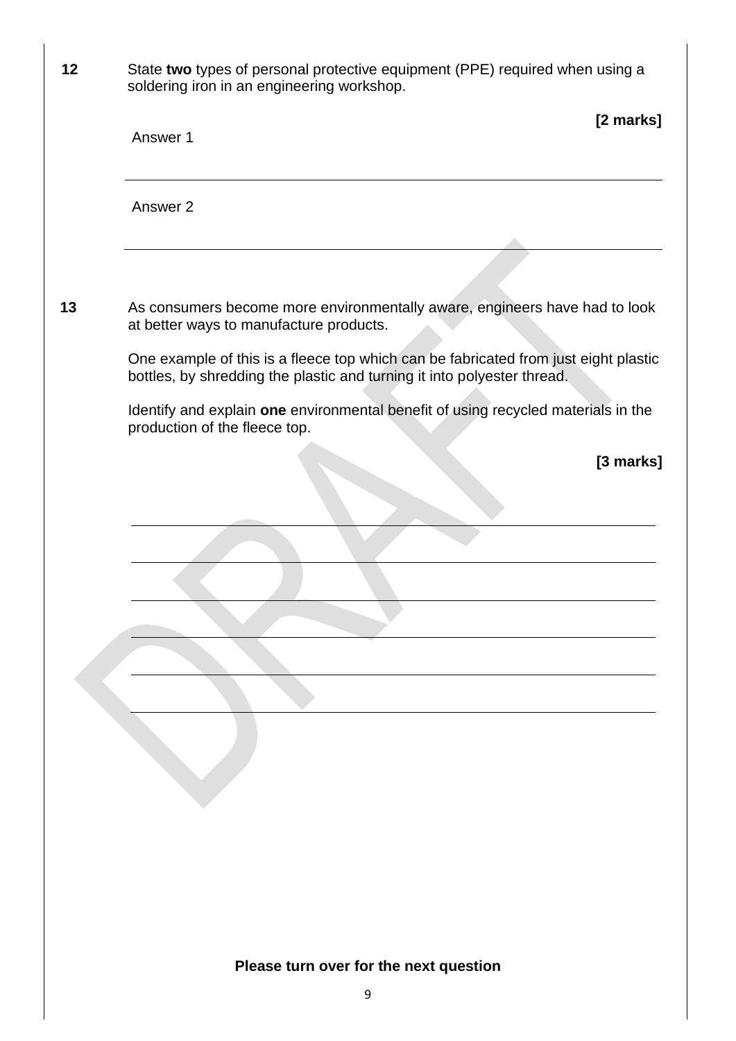| 12 | State two types of personal protective equipment (PPE) required when using a<br>soldering iron in an engineering workshop.                                     |
|----|----------------------------------------------------------------------------------------------------------------------------------------------------------------|
|    | [2 marks]<br>Answer 1                                                                                                                                          |
|    | Answer 2                                                                                                                                                       |
|    |                                                                                                                                                                |
| 13 | As consumers become more environmentally aware, engineers have had to look<br>at better ways to manufacture products.                                          |
|    | One example of this is a fleece top which can be fabricated from just eight plastic<br>bottles, by shredding the plastic and turning it into polyester thread. |
|    | Identify and explain one environmental benefit of using recycled materials in the<br>production of the fleece top.                                             |
|    | [3 marks]                                                                                                                                                      |
|    |                                                                                                                                                                |
|    |                                                                                                                                                                |
|    |                                                                                                                                                                |
|    |                                                                                                                                                                |
|    |                                                                                                                                                                |
|    |                                                                                                                                                                |
|    |                                                                                                                                                                |
|    |                                                                                                                                                                |
|    |                                                                                                                                                                |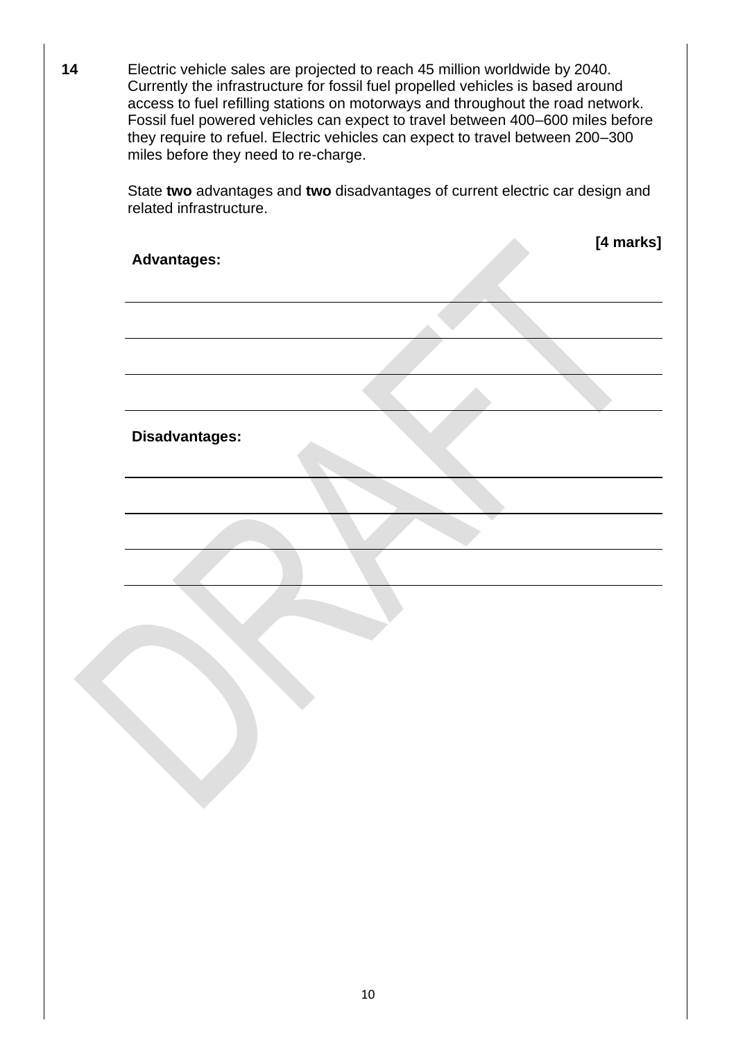**14** Electric vehicle sales are projected to reach 45 million worldwide by 2040. Currently the infrastructure for fossil fuel propelled vehicles is based around access to fuel refilling stations on motorways and throughout the road network. Fossil fuel powered vehicles can expect to travel between 400–600 miles before they require to refuel. Electric vehicles can expect to travel between 200–300 miles before they need to re-charge.

> State **two** advantages and **two** disadvantages of current electric car design and related infrastructure.

| <b>Advantages:</b> |  | [4 marks] |
|--------------------|--|-----------|
|                    |  |           |
|                    |  |           |
|                    |  |           |
|                    |  |           |
|                    |  |           |
| Disadvantages:     |  |           |
|                    |  |           |
|                    |  |           |
|                    |  |           |
|                    |  |           |
|                    |  |           |
|                    |  |           |
|                    |  |           |
|                    |  |           |
|                    |  |           |
|                    |  |           |
|                    |  |           |
|                    |  |           |
|                    |  |           |
|                    |  |           |
|                    |  |           |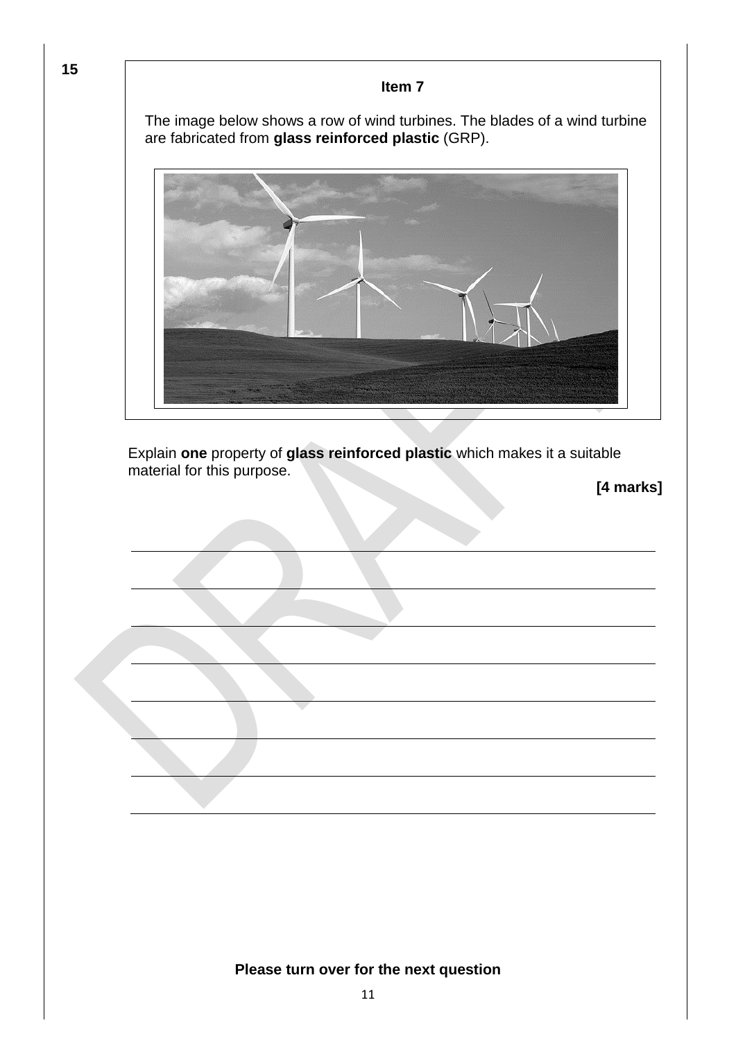**Item 7** The image below shows a row of wind turbines. The blades of a wind turbine are fabricated from **glass reinforced plastic** (GRP). Explain **one** property of **glass reinforced plastic** which makes it a suitable material for this purpose. **[4 marks]**

**15**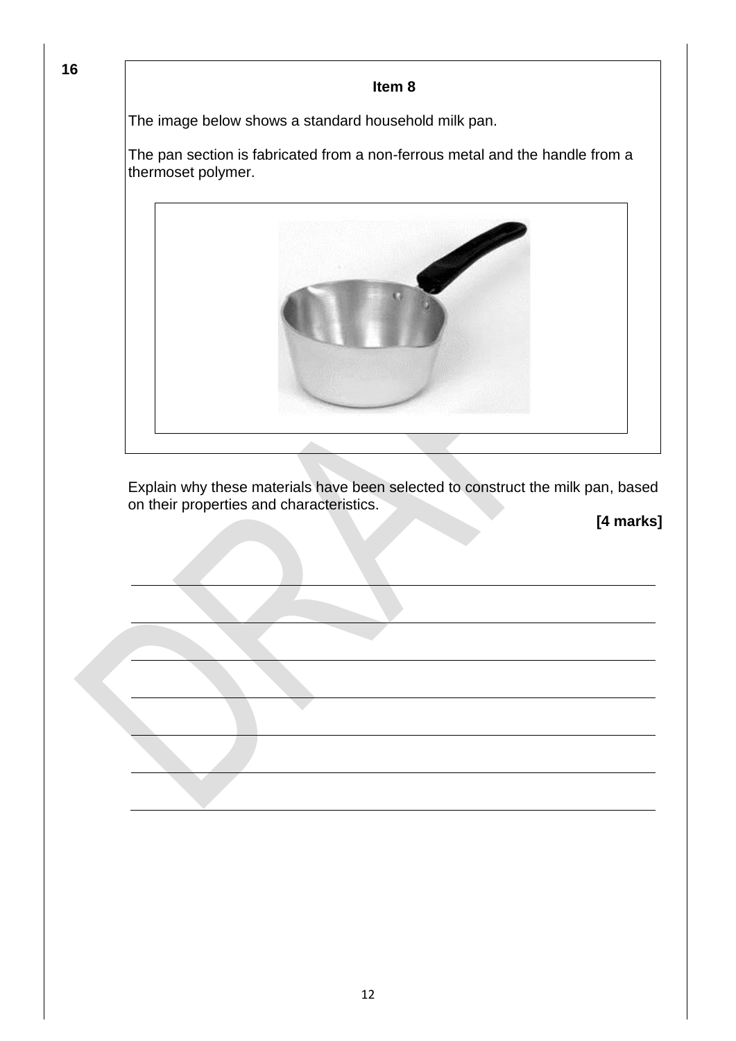**16**

#### **Item 8**

The image below shows a standard household milk pan.

The pan section is fabricated from a non-ferrous metal and the handle from a thermoset polymer.



Explain why these materials have been selected to construct the milk pan, based on their properties and characteristics.

**[4 marks]**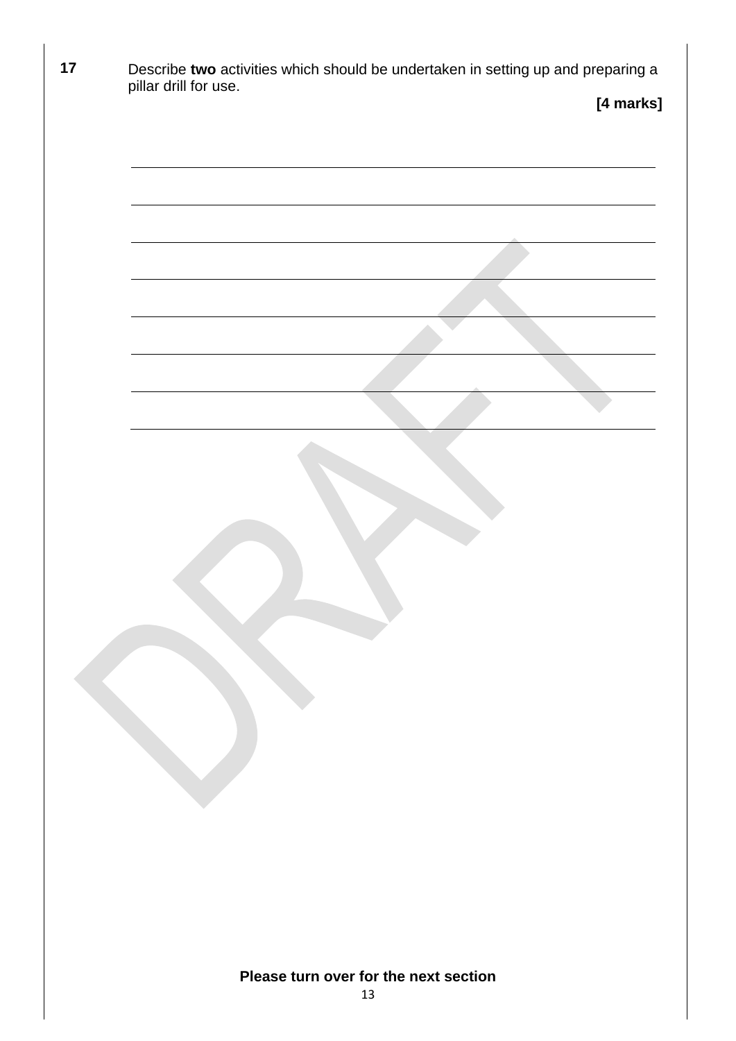| 17 | Describe two activities which should be undertaken in setting up and preparing a<br>pillar drill for use. |
|----|-----------------------------------------------------------------------------------------------------------|
|    | [4 marks]                                                                                                 |
|    |                                                                                                           |
|    |                                                                                                           |
|    |                                                                                                           |
|    |                                                                                                           |
|    |                                                                                                           |
|    |                                                                                                           |
|    |                                                                                                           |
|    |                                                                                                           |
|    |                                                                                                           |
|    |                                                                                                           |
|    |                                                                                                           |
|    |                                                                                                           |
|    |                                                                                                           |
|    |                                                                                                           |
|    |                                                                                                           |
|    |                                                                                                           |
|    |                                                                                                           |
|    |                                                                                                           |
|    |                                                                                                           |
|    |                                                                                                           |
|    |                                                                                                           |
|    |                                                                                                           |
|    |                                                                                                           |
|    |                                                                                                           |
|    | Please turn over for the next section<br>13                                                               |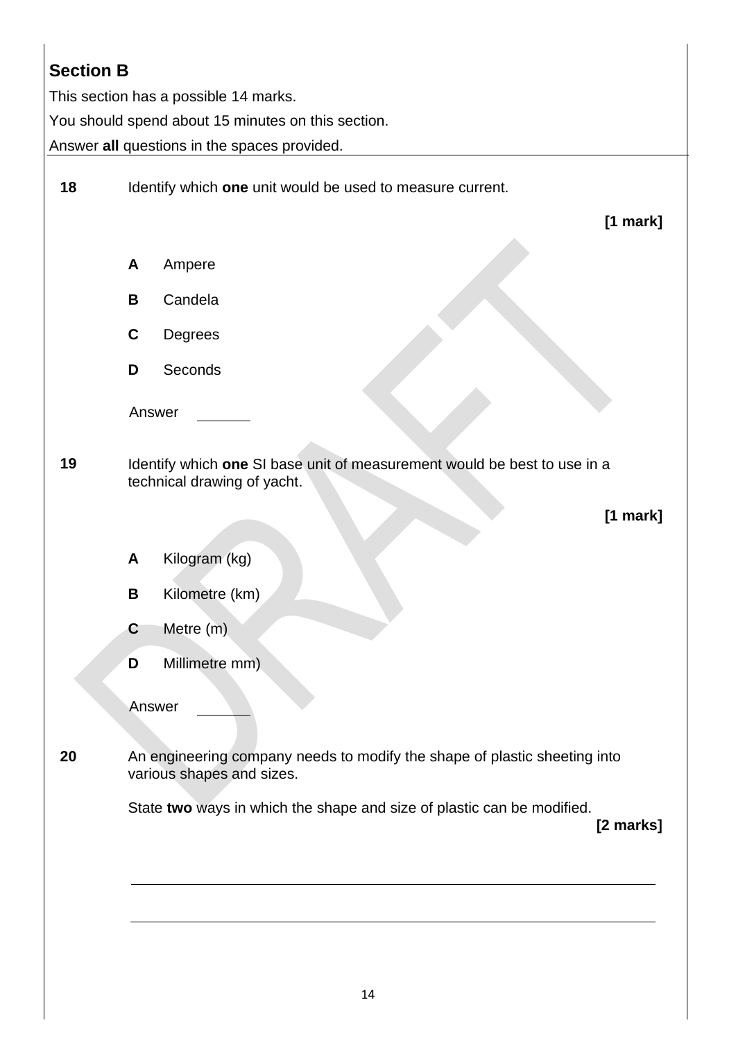## **Section B**

This section has a possible 14 marks.

You should spend about 15 minutes on this section.

Answer **all** questions in the spaces provided.

| 18 |   | Identify which one unit would be used to measure current.                                               |
|----|---|---------------------------------------------------------------------------------------------------------|
|    |   | $[1$ mark]                                                                                              |
|    | A | Ampere                                                                                                  |
|    | B | Candela                                                                                                 |
|    | C | Degrees                                                                                                 |
|    | D | Seconds                                                                                                 |
|    |   | Answer                                                                                                  |
| 19 |   | Identify which one SI base unit of measurement would be best to use in a<br>technical drawing of yacht. |
|    |   | [1 mark]                                                                                                |
|    | A | Kilogram (kg)                                                                                           |
|    | B | Kilometre (km)                                                                                          |
|    | C | Metre (m)                                                                                               |
|    | D | Millimetre mm)                                                                                          |
|    |   | Answer                                                                                                  |
| 20 |   | An engineering company needs to modify the shape of plastic sheeting into<br>various shapes and sizes.  |
|    |   | State two ways in which the shape and size of plastic can be modified.<br>[2 marks]                     |
|    |   |                                                                                                         |
|    |   |                                                                                                         |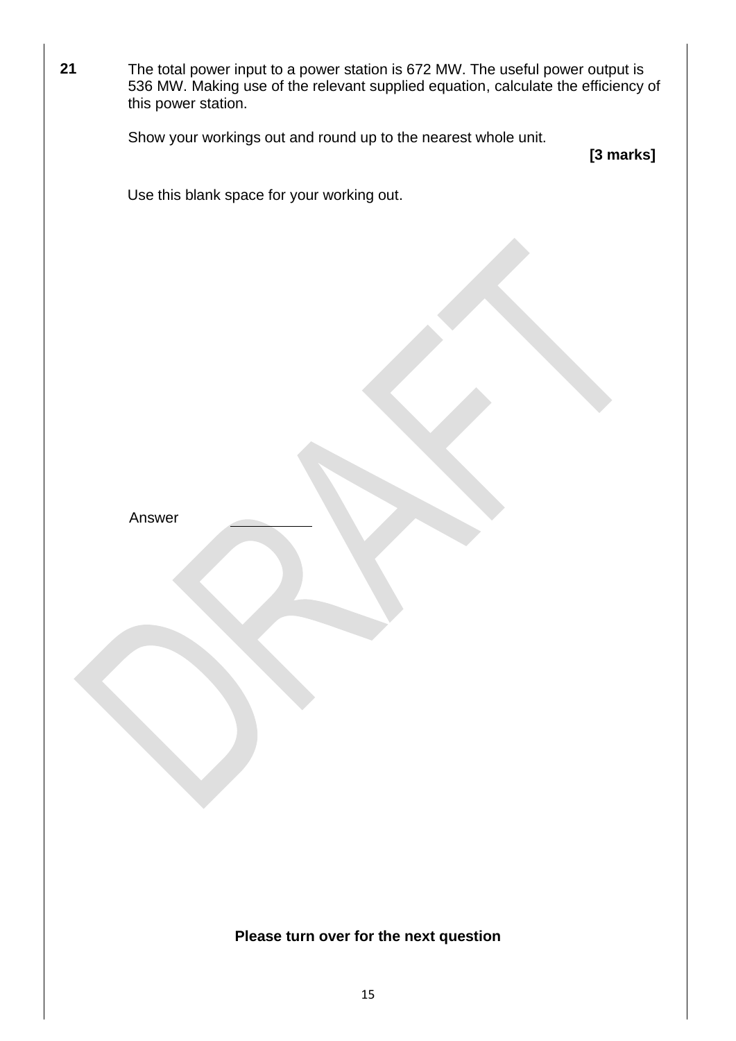| 21 | The total power input to a power station is 672 MW. The useful power output is<br>536 MW. Making use of the relevant supplied equation, calculate the efficiency of<br>this power station. |           |
|----|--------------------------------------------------------------------------------------------------------------------------------------------------------------------------------------------|-----------|
|    | Show your workings out and round up to the nearest whole unit.                                                                                                                             | [3 marks] |
|    | Use this blank space for your working out.                                                                                                                                                 |           |
|    |                                                                                                                                                                                            |           |
|    | Answer                                                                                                                                                                                     |           |
|    | Please turn over for the next question                                                                                                                                                     |           |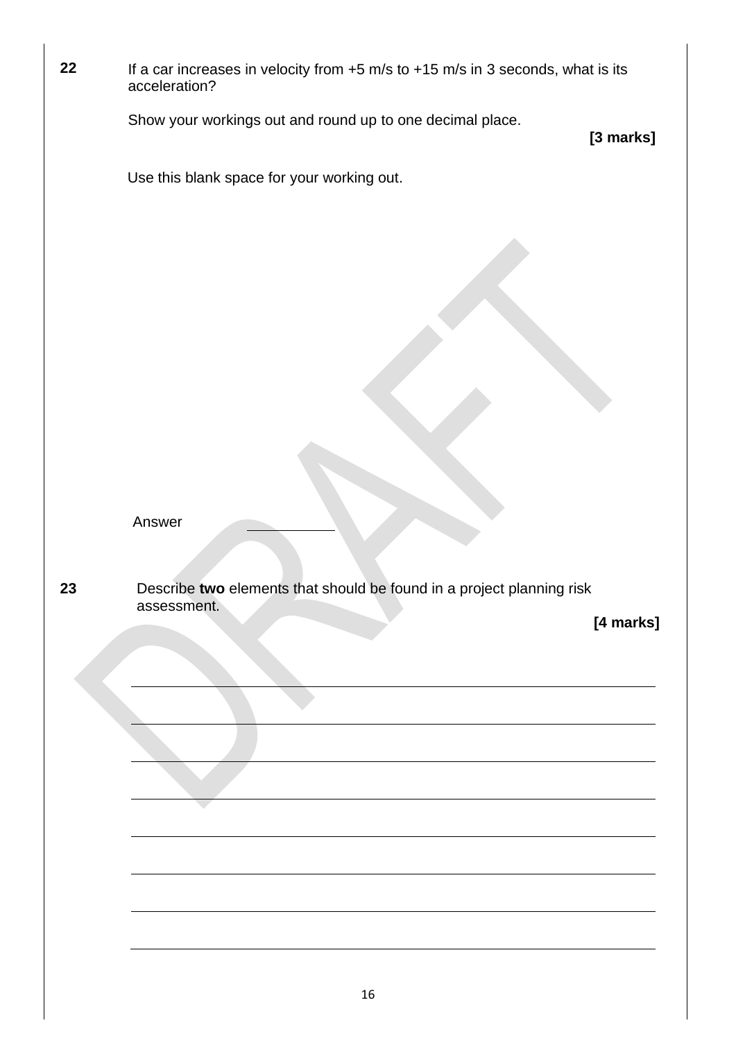| 22 | If a car increases in velocity from $+5$ m/s to $+15$ m/s in 3 seconds, what is its<br>acceleration? |
|----|------------------------------------------------------------------------------------------------------|
|    | Show your workings out and round up to one decimal place.<br>[3 marks]                               |
|    | Use this blank space for your working out.                                                           |
|    | Answer                                                                                               |
| 23 | Describe two elements that should be found in a project planning risk<br>assessment.                 |
|    | [4 marks]                                                                                            |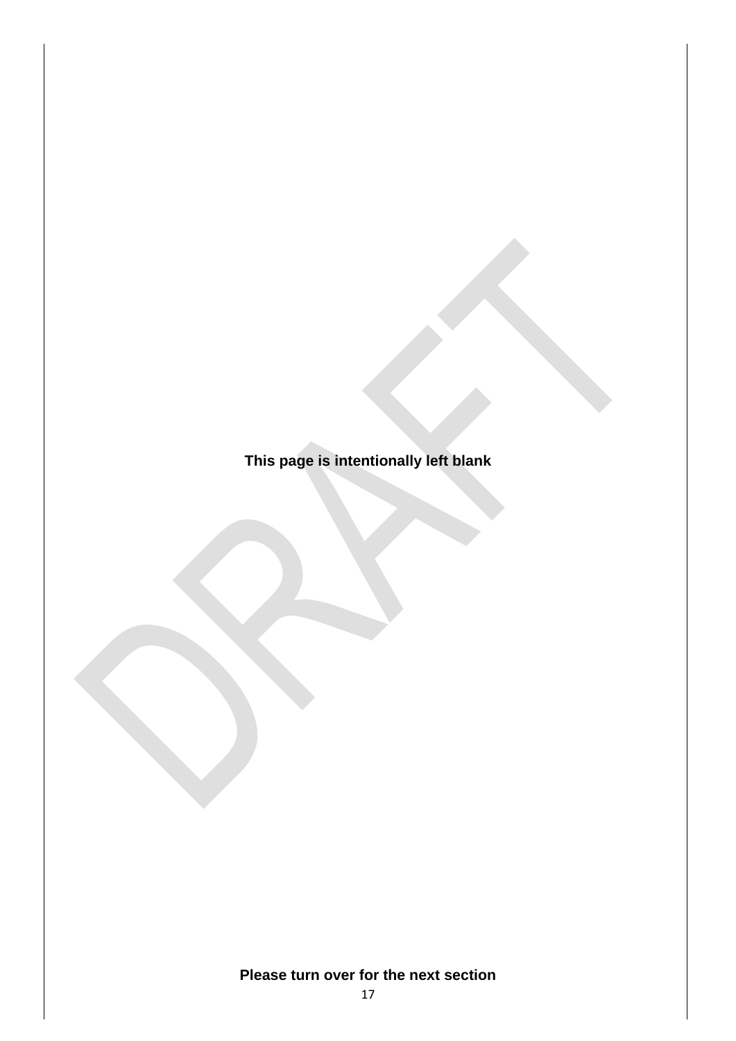**This page is intentionally left blank**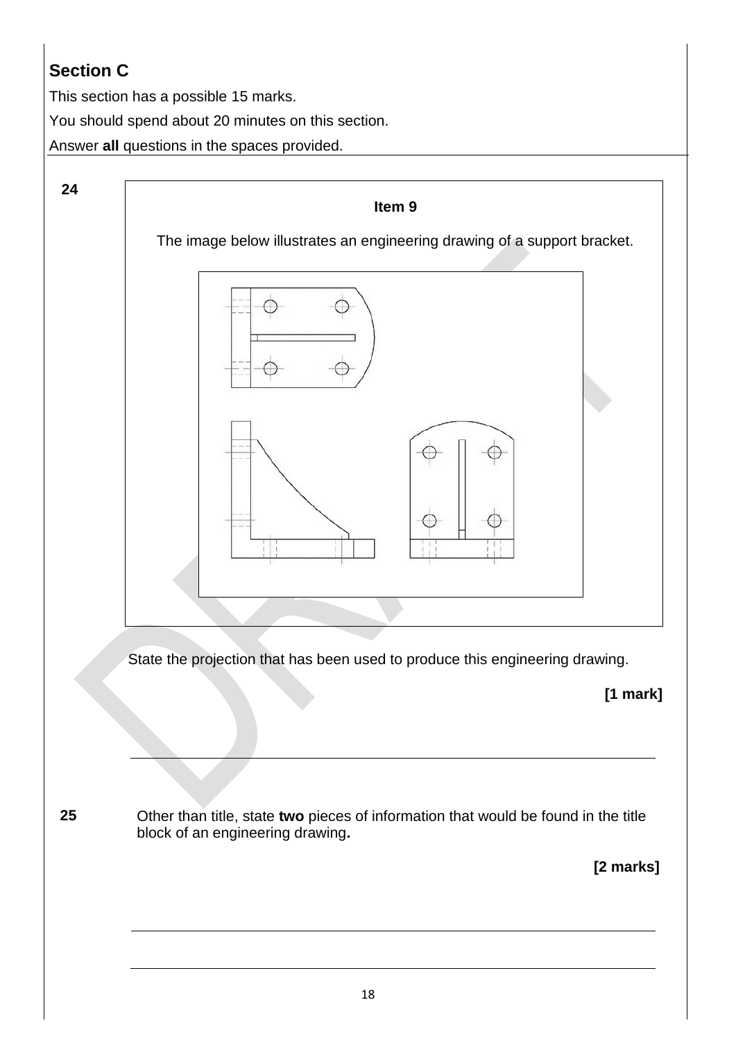## **Section C**

This section has a possible 15 marks.

You should spend about 20 minutes on this section.

Answer **all** questions in the spaces provided.



**[1 mark]**

**25** Other than title, state **two** pieces of information that would be found in the title block of an engineering drawing**.**

 **[2 marks]**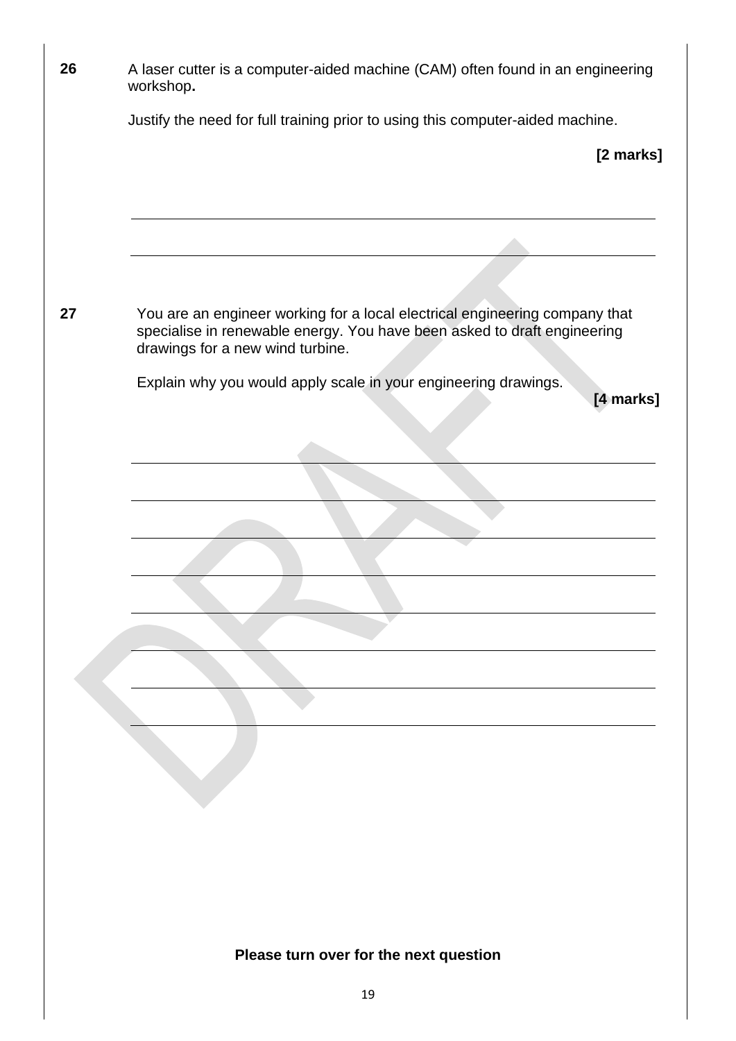| 26 | A laser cutter is a computer-aided machine (CAM) often found in an engineering<br>workshop.                                                                                                 |
|----|---------------------------------------------------------------------------------------------------------------------------------------------------------------------------------------------|
|    | Justify the need for full training prior to using this computer-aided machine.                                                                                                              |
|    | [2 marks]                                                                                                                                                                                   |
|    |                                                                                                                                                                                             |
| 27 | You are an engineer working for a local electrical engineering company that<br>specialise in renewable energy. You have been asked to draft engineering<br>drawings for a new wind turbine. |
|    | Explain why you would apply scale in your engineering drawings.<br>[4 marks]                                                                                                                |
|    |                                                                                                                                                                                             |
|    |                                                                                                                                                                                             |
|    |                                                                                                                                                                                             |
|    |                                                                                                                                                                                             |
|    |                                                                                                                                                                                             |
|    |                                                                                                                                                                                             |
|    |                                                                                                                                                                                             |
|    |                                                                                                                                                                                             |
|    |                                                                                                                                                                                             |
|    |                                                                                                                                                                                             |
|    |                                                                                                                                                                                             |
|    |                                                                                                                                                                                             |
|    |                                                                                                                                                                                             |
|    | Please turn over for the next question                                                                                                                                                      |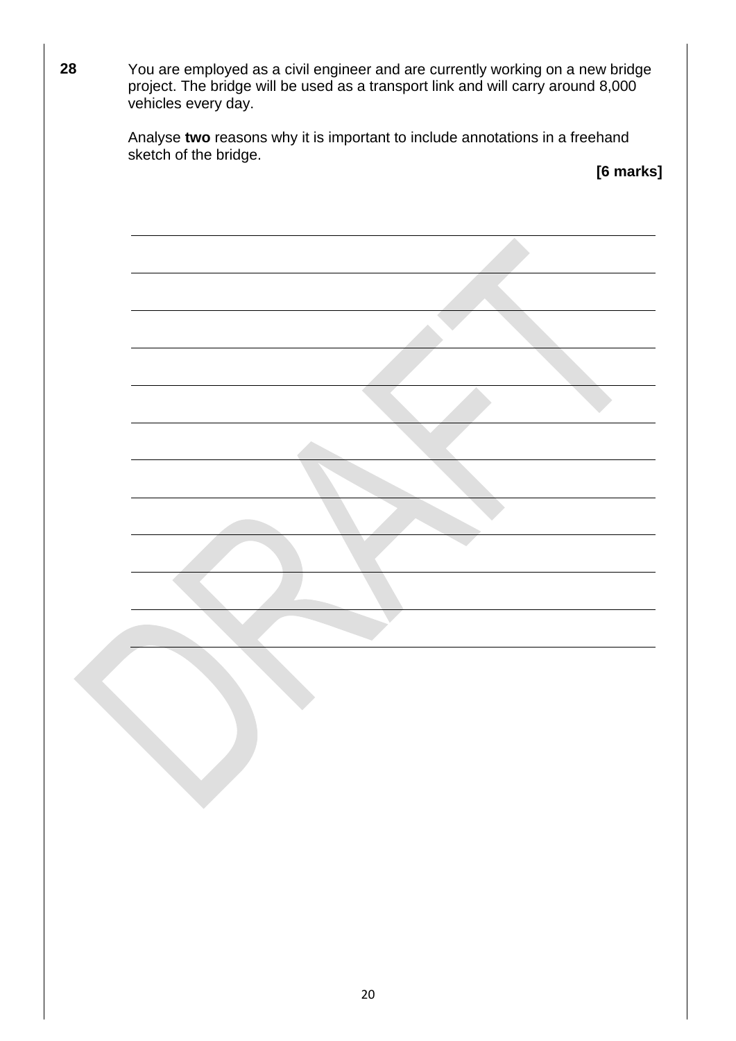| 28 | You are employed as a civil engineer and are currently working on a new bridge<br>project. The bridge will be used as a transport link and will carry around 8,000<br>vehicles every day. |
|----|-------------------------------------------------------------------------------------------------------------------------------------------------------------------------------------------|
|    | Analyse two reasons why it is important to include annotations in a freehand<br>sketch of the bridge.<br>[6 marks]                                                                        |
|    |                                                                                                                                                                                           |
|    |                                                                                                                                                                                           |
|    |                                                                                                                                                                                           |
|    |                                                                                                                                                                                           |
|    |                                                                                                                                                                                           |
|    |                                                                                                                                                                                           |
|    |                                                                                                                                                                                           |
|    |                                                                                                                                                                                           |
|    |                                                                                                                                                                                           |
|    |                                                                                                                                                                                           |
|    |                                                                                                                                                                                           |
|    |                                                                                                                                                                                           |
|    |                                                                                                                                                                                           |
|    |                                                                                                                                                                                           |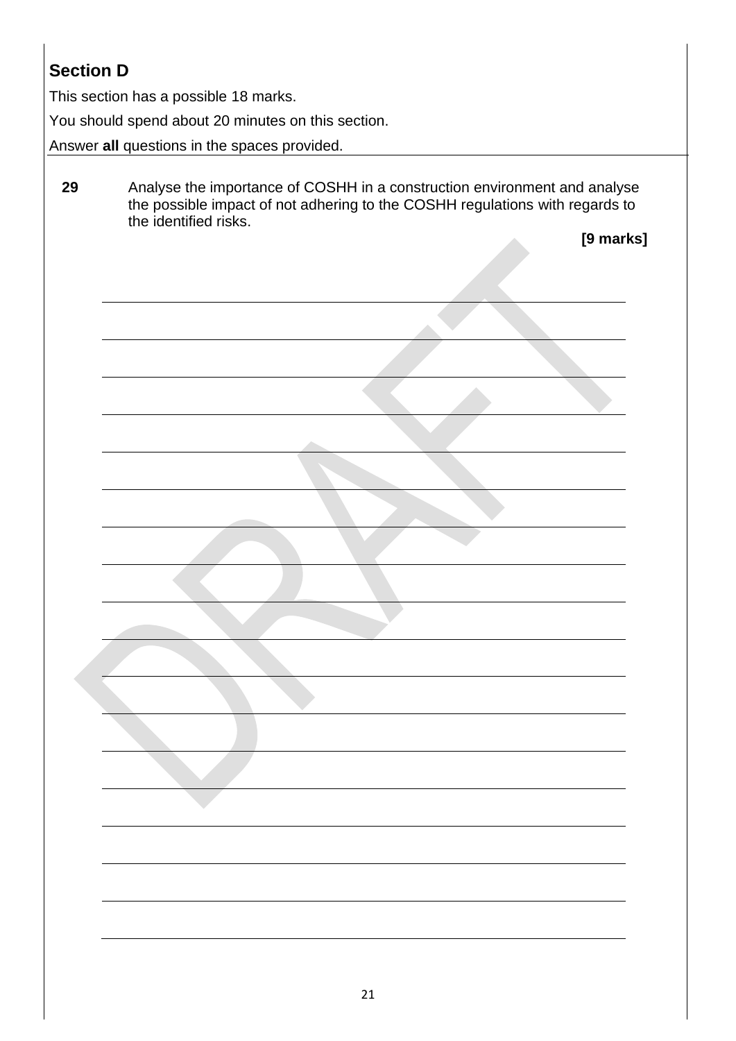## **Section D**

This section has a possible 18 marks.

You should spend about 20 minutes on this section.

Answer **all** questions in the spaces provided.

| 29 | Analyse the importance of COSHH in a construction environment and analyse<br>the possible impact of not adhering to the COSHH regulations with regards to<br>the identified risks. |  |  |
|----|------------------------------------------------------------------------------------------------------------------------------------------------------------------------------------|--|--|
|    |                                                                                                                                                                                    |  |  |

**[9 marks]**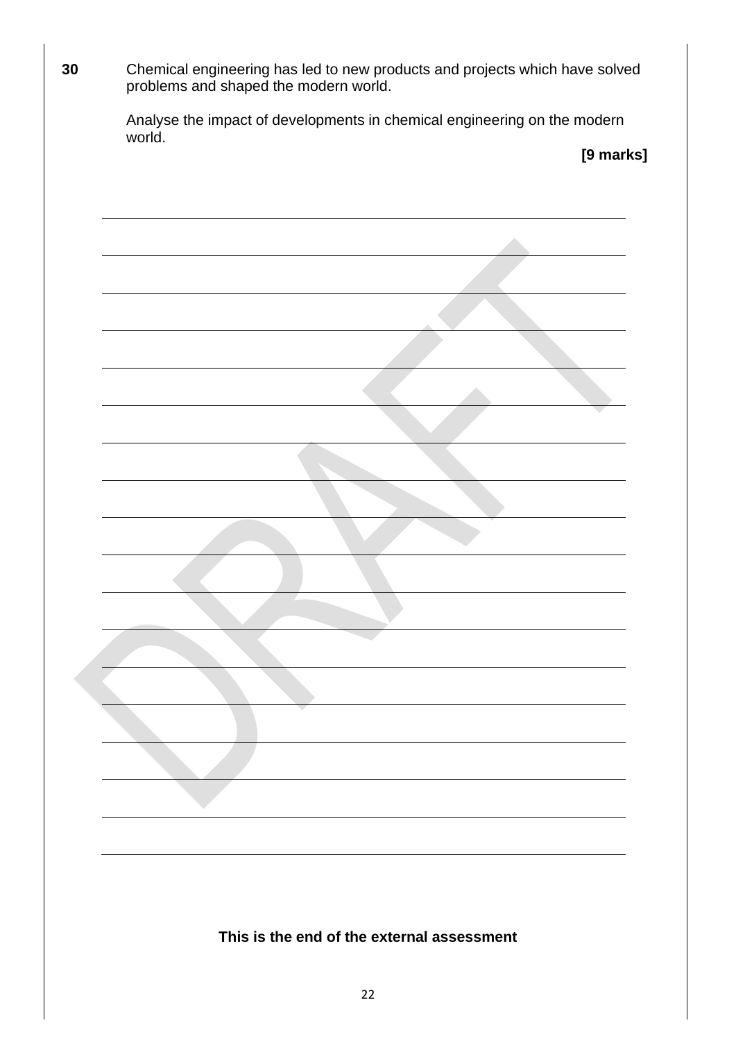| 30 | Chemical engineering has led to new products and projects which have solved<br>problems and shaped the modern world. |  |  |
|----|----------------------------------------------------------------------------------------------------------------------|--|--|
|    | Analyse the impact of developments in chemical engineering on the modern<br>world.                                   |  |  |
|    | [9 marks]                                                                                                            |  |  |
|    |                                                                                                                      |  |  |
|    |                                                                                                                      |  |  |
|    |                                                                                                                      |  |  |
|    |                                                                                                                      |  |  |
|    |                                                                                                                      |  |  |
|    |                                                                                                                      |  |  |
|    |                                                                                                                      |  |  |
|    |                                                                                                                      |  |  |
|    |                                                                                                                      |  |  |
|    |                                                                                                                      |  |  |
|    |                                                                                                                      |  |  |
|    |                                                                                                                      |  |  |
|    |                                                                                                                      |  |  |
|    |                                                                                                                      |  |  |
|    |                                                                                                                      |  |  |
|    |                                                                                                                      |  |  |
|    |                                                                                                                      |  |  |
|    |                                                                                                                      |  |  |
|    |                                                                                                                      |  |  |
|    | This is the end of the external assessment                                                                           |  |  |